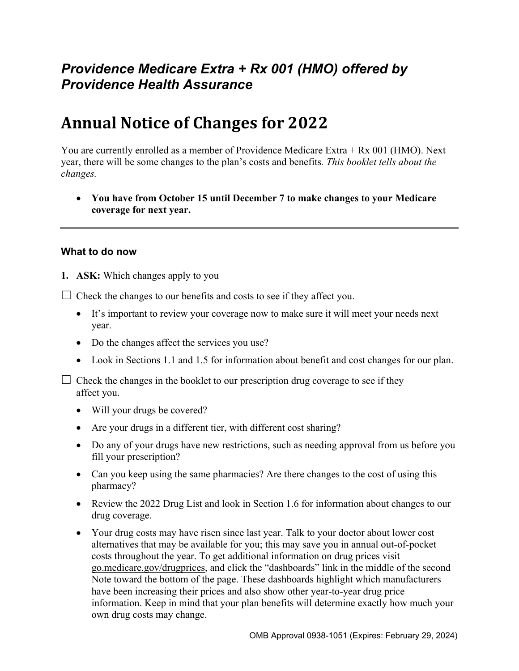## *Providence Medicare Extra + Rx 001 (HMO) offered by Providence Health Assurance*

# **Annual Notice of Changes for 2022**

You are currently enrolled as a member of Providence Medicare Extra + Rx 001 (HMO). Next year, there will be some changes to the plan's costs and benefits*. This booklet tells about the changes.* 

 **You have from October 15 until December 7 to make changes to your Medicare coverage for next year.** 

#### **What to do now**

**1. ASK:** Which changes apply to you

 $\Box$  Check the changes to our benefits and costs to see if they affect you.

- It's important to review your coverage now to make sure it will meet your needs next year.
- Do the changes affect the services you use?
- Look in Sections 1.1 and 1.5 for information about benefit and cost changes for our plan.

 $\Box$  Check the changes in the booklet to our prescription drug coverage to see if they affect you.

- Will your drugs be covered?
- Are your drugs in a different tier, with different cost sharing?
- Do any of your drugs have new restrictions, such as needing approval from us before you fill your prescription?
- Can you keep using the same pharmacies? Are there changes to the cost of using this pharmacy?
- Review the 2022 Drug List and look in Section 1.6 for information about changes to our drug coverage.
- Your drug costs may have risen since last year. Talk to your doctor about lower cost alternatives that may be available for you; this may save you in annual out-of-pocket costs throughout the year. To get additional information on drug prices visit [go.medicare.gov/drugprices,](https://go.medicare.gov/drugprices) and click the "dashboards" link in the middle of the second Note toward the bottom of the page. These dashboards highlight which manufacturers have been increasing their prices and also show other year-to-year drug price information. Keep in mind that your plan benefits will determine exactly how much your own drug costs may change.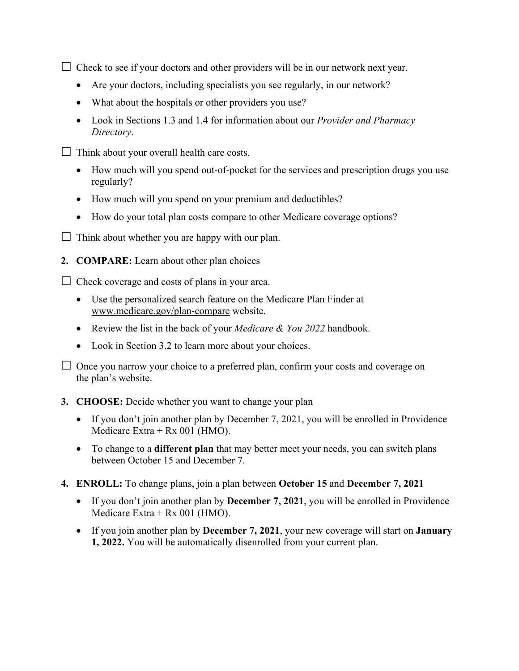$\Box$  Check to see if your doctors and other providers will be in our network next year.

- Are your doctors, including specialists you see regularly, in our network?
- What about the hospitals or other providers you use?
- Look in Sections 1.3 and 1.4 for information about our *Provider and Pharmacy Directory*.
- $\Box$  Think about your overall health care costs.
	- How much will you spend out-of-pocket for the services and prescription drugs you use regularly?
	- How much will you spend on your premium and deductibles?
	- How do your total plan costs compare to other Medicare coverage options?
- $\Box$  Think about whether you are happy with our plan.
- **2. COMPARE:** Learn about other plan choices

 $\Box$  Check coverage and costs of plans in your area.

- Use the personalized search feature on the Medicare Plan Finder at [www.medicare.gov/plan-compare](http://www.medicare.gov/plan-compare) website.
- Review the list in the back of your *Medicare & You 2022* handbook.
- Look in Section 3.2 to learn more about your choices.

 $\Box$  Once you narrow your choice to a preferred plan, confirm your costs and coverage on the plan's website.

#### **3. CHOOSE:** Decide whether you want to change your plan

- If you don't join another plan by December 7, 2021, you will be enrolled in Providence Medicare Extra + Rx 001 (HMO).
- To change to a **different plan** that may better meet your needs, you can switch plans between October 15 and December 7.
- **4. ENROLL:** To change plans, join a plan between **October 15** and **December 7, 2021** 
	- If you don't join another plan by **December 7, 2021**, you will be enrolled in Providence Medicare Extra + Rx 001 (HMO).
	- If you join another plan by **December 7, 2021**, your new coverage will start on **January 1, 2022.** You will be automatically disenrolled from your current plan.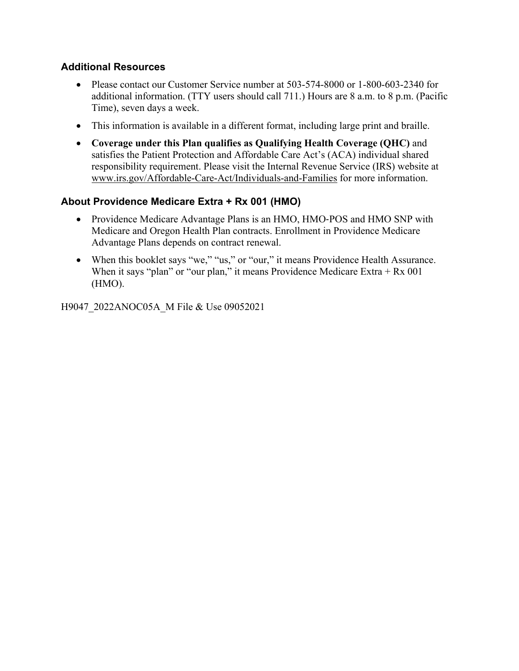#### **Additional Resources**

- Please contact our Customer Service number at 503-574-8000 or 1-800-603-2340 for additional information. (TTY users should call 711.) Hours are 8 a.m. to 8 p.m. (Pacific Time), seven days a week.
- This information is available in a different format, including large print and braille.
- **Coverage under this Plan qualifies as Qualifying Health Coverage (QHC)** and satisfies the Patient Protection and Affordable Care Act's (ACA) individual shared responsibility requirement. Please visit the Internal Revenue Service (IRS) website at [www.irs.gov/Affordable-Care-Act/Individuals-and-Families](http://www.irs.gov/Affordable-Care-Act/Individuals-and-Families) for more information.

#### **About Providence Medicare Extra + Rx 001 (HMO)**

- Providence Medicare Advantage Plans is an HMO, HMO-POS and HMO SNP with Medicare and Oregon Health Plan contracts. Enrollment in Providence Medicare Advantage Plans depends on contract renewal.
- When this booklet says "we," "us," or "our," it means Providence Health Assurance. When it says "plan" or "our plan," it means Providence Medicare Extra  $+ Rx 001$ (HMO).

H9047\_2022ANOC05A\_M File & Use 09052021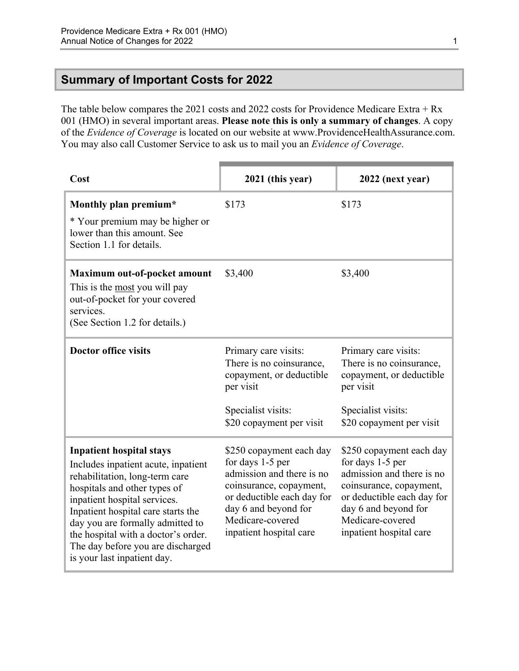### <span id="page-3-0"></span>**Summary of Important Costs for 2022**

The table below compares the 2021 costs and 2022 costs for Providence Medicare Extra + Rx 001 (HMO) in several important areas. **Please note this is only a summary of changes**. A copy of the *Evidence of Coverage* is located on our website at [www.ProvidenceHealthAssurance.com](http://www.ProvidenceHealthAssurance.com). You may also call Customer Service to ask us to mail you an *Evidence of Coverage*.

| Cost                                                                                                                                                                                                                                                                                                                                                          | 2021 (this year)                                                                                                                                                                                          | 2022 (next year)                                                                                                                                                                                          |
|---------------------------------------------------------------------------------------------------------------------------------------------------------------------------------------------------------------------------------------------------------------------------------------------------------------------------------------------------------------|-----------------------------------------------------------------------------------------------------------------------------------------------------------------------------------------------------------|-----------------------------------------------------------------------------------------------------------------------------------------------------------------------------------------------------------|
| Monthly plan premium*<br>* Your premium may be higher or<br>lower than this amount. See<br>Section 1.1 for details.                                                                                                                                                                                                                                           | \$173                                                                                                                                                                                                     | \$173                                                                                                                                                                                                     |
| Maximum out-of-pocket amount<br>This is the most you will pay<br>out-of-pocket for your covered<br>services.<br>(See Section 1.2 for details.)                                                                                                                                                                                                                | \$3,400                                                                                                                                                                                                   | \$3,400                                                                                                                                                                                                   |
| <b>Doctor office visits</b>                                                                                                                                                                                                                                                                                                                                   | Primary care visits:<br>There is no coinsurance,<br>copayment, or deductible<br>per visit<br>Specialist visits:<br>\$20 copayment per visit                                                               | Primary care visits:<br>There is no coinsurance,<br>copayment, or deductible<br>per visit<br>Specialist visits:<br>\$20 copayment per visit                                                               |
| <b>Inpatient hospital stays</b><br>Includes inpatient acute, inpatient<br>rehabilitation, long-term care<br>hospitals and other types of<br>inpatient hospital services.<br>Inpatient hospital care starts the<br>day you are formally admitted to<br>the hospital with a doctor's order.<br>The day before you are discharged<br>is your last inpatient day. | \$250 copayment each day<br>for days 1-5 per<br>admission and there is no<br>coinsurance, copayment,<br>or deductible each day for<br>day 6 and beyond for<br>Medicare-covered<br>inpatient hospital care | \$250 copayment each day<br>for days 1-5 per<br>admission and there is no<br>coinsurance, copayment,<br>or deductible each day for<br>day 6 and beyond for<br>Medicare-covered<br>inpatient hospital care |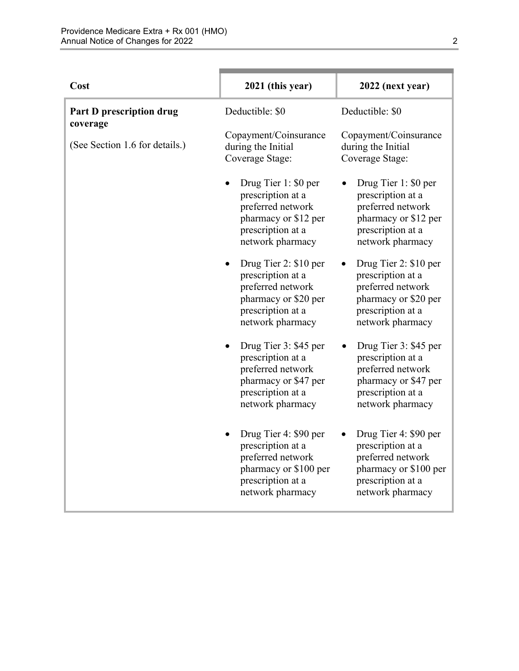| Cost                                 | 2021 (this year)                                                                                                                              | 2022 (next year)                                                                                                                              |
|--------------------------------------|-----------------------------------------------------------------------------------------------------------------------------------------------|-----------------------------------------------------------------------------------------------------------------------------------------------|
| Part D prescription drug<br>coverage | Deductible: \$0                                                                                                                               | Deductible: \$0                                                                                                                               |
| (See Section 1.6 for details.)       | Copayment/Coinsurance<br>during the Initial<br>Coverage Stage:                                                                                | Copayment/Coinsurance<br>during the Initial<br>Coverage Stage:                                                                                |
|                                      | Drug Tier 1: \$0 per<br>prescription at a<br>preferred network<br>pharmacy or \$12 per<br>prescription at a<br>network pharmacy               | Drug Tier 1: \$0 per<br>$\bullet$<br>prescription at a<br>preferred network<br>pharmacy or \$12 per<br>prescription at a<br>network pharmacy  |
|                                      | Drug Tier 2: \$10 per<br>٠<br>prescription at a<br>preferred network<br>pharmacy or \$20 per<br>prescription at a<br>network pharmacy         | Drug Tier 2: \$10 per<br>$\bullet$<br>prescription at a<br>preferred network<br>pharmacy or \$20 per<br>prescription at a<br>network pharmacy |
|                                      | Drug Tier 3: \$45 per<br>$\bullet$<br>prescription at a<br>preferred network<br>pharmacy or \$47 per<br>prescription at a<br>network pharmacy | Drug Tier 3: \$45 per<br>prescription at a<br>preferred network<br>pharmacy or \$47 per<br>prescription at a<br>network pharmacy              |
|                                      | Drug Tier 4: \$90 per<br>prescription at a<br>preferred network<br>pharmacy or \$100 per<br>prescription at a<br>network pharmacy             | Drug Tier 4: \$90 per<br>prescription at a<br>preferred network<br>pharmacy or \$100 per<br>prescription at a<br>network pharmacy             |

n.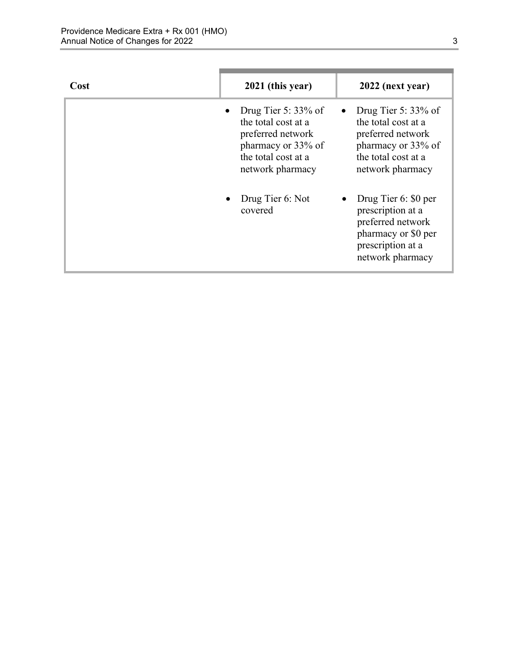| Cost | 2021 (this year)                                                                                                                    | 2022 (next year)                                                                                                                    |
|------|-------------------------------------------------------------------------------------------------------------------------------------|-------------------------------------------------------------------------------------------------------------------------------------|
|      | Drug Tier 5: $33\%$ of<br>the total cost at a<br>preferred network<br>pharmacy or 33% of<br>the total cost at a<br>network pharmacy | Drug Tier 5: $33\%$ of<br>the total cost at a<br>preferred network<br>pharmacy or 33% of<br>the total cost at a<br>network pharmacy |
|      | Drug Tier 6: Not<br>covered                                                                                                         | Drug Tier 6: \$0 per<br>prescription at a<br>preferred network<br>pharmacy or \$0 per<br>prescription at a<br>network pharmacy      |

٠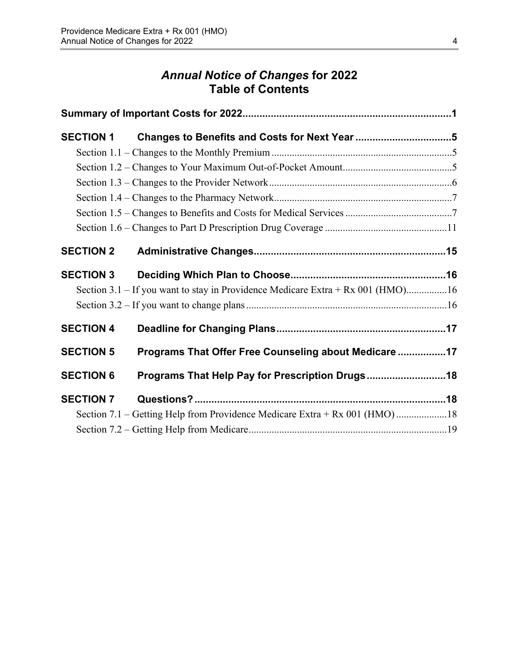### *Annual Notice of Changes* **for 2022 Table of Contents**

| <b>SECTION 1</b> |                                                                                 |  |
|------------------|---------------------------------------------------------------------------------|--|
|                  |                                                                                 |  |
|                  |                                                                                 |  |
|                  |                                                                                 |  |
|                  |                                                                                 |  |
|                  |                                                                                 |  |
|                  |                                                                                 |  |
| <b>SECTION 2</b> |                                                                                 |  |
| <b>SECTION 3</b> |                                                                                 |  |
|                  | Section 3.1 – If you want to stay in Providence Medicare Extra + Rx 001 (HMO)16 |  |
|                  |                                                                                 |  |
| <b>SECTION 4</b> |                                                                                 |  |
| <b>SECTION 5</b> | Programs That Offer Free Counseling about Medicare 17                           |  |
| <b>SECTION 6</b> | Programs That Help Pay for Prescription Drugs 18                                |  |
| <b>SECTION 7</b> |                                                                                 |  |
|                  | Section 7.1 – Getting Help from Providence Medicare Extra + Rx 001 (HMO)18      |  |
|                  |                                                                                 |  |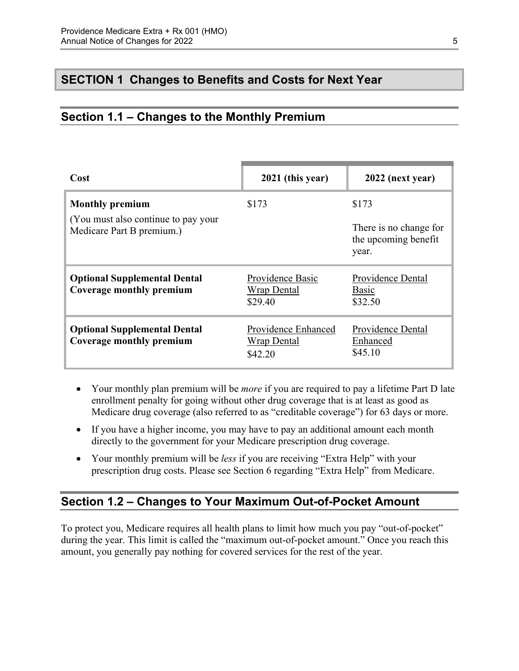### <span id="page-7-0"></span>**SECTION 1 Changes to Benefits and Costs for Next Year**

### <span id="page-7-1"></span>**Section 1.1 – Changes to the Monthly Premium**

| Cost                                                              | 2021 (this year)                                     | 2022 (next year)                                        |
|-------------------------------------------------------------------|------------------------------------------------------|---------------------------------------------------------|
| <b>Monthly premium</b>                                            | \$173                                                | \$173                                                   |
| (You must also continue to pay your)<br>Medicare Part B premium.) |                                                      | There is no change for<br>the upcoming benefit<br>year. |
| <b>Optional Supplemental Dental</b><br>Coverage monthly premium   | Providence Basic<br><b>Wrap Dental</b><br>\$29.40    | Providence Dental<br>Basic<br>\$32.50                   |
| <b>Optional Supplemental Dental</b><br>Coverage monthly premium   | Providence Enhanced<br><b>Wrap Dental</b><br>\$42.20 | Providence Dental<br>Enhanced<br>\$45.10                |

- Your monthly plan premium will be *more* if you are required to pay a lifetime Part D late enrollment penalty for going without other drug coverage that is at least as good as Medicare drug coverage (also referred to as "creditable coverage") for 63 days or more.
- If you have a higher income, you may have to pay an additional amount each month directly to the government for your Medicare prescription drug coverage.
- Your monthly premium will be *less* if you are receiving "Extra Help" with your prescription drug costs. Please see Section 6 regarding "Extra Help" from Medicare.

### <span id="page-7-2"></span>**Section 1.2 – Changes to Your Maximum Out-of-Pocket Amount**

 amount, you generally pay nothing for covered services for the rest of the year. To protect you, Medicare requires all health plans to limit how much you pay "out-of-pocket" during the year. This limit is called the "maximum out-of-pocket amount." Once you reach this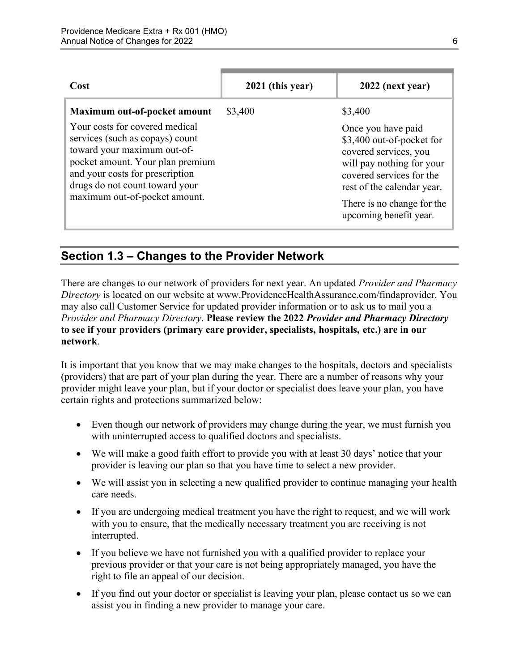| Cost                                                                                                                                                                                                                                                                       | 2021 (this year) | 2022 (next year)                                                                                                                                                                                                                   |
|----------------------------------------------------------------------------------------------------------------------------------------------------------------------------------------------------------------------------------------------------------------------------|------------------|------------------------------------------------------------------------------------------------------------------------------------------------------------------------------------------------------------------------------------|
| Maximum out-of-pocket amount<br>Your costs for covered medical<br>services (such as copays) count<br>toward your maximum out-of-<br>pocket amount. Your plan premium<br>and your costs for prescription<br>drugs do not count toward your<br>maximum out-of-pocket amount. | \$3,400          | \$3,400<br>Once you have paid<br>\$3,400 out-of-pocket for<br>covered services, you<br>will pay nothing for your<br>covered services for the<br>rest of the calendar year.<br>There is no change for the<br>upcoming benefit year. |

### <span id="page-8-0"></span>**Section 1.3 – Changes to the Provider Network**

 **to see if your providers (primary care provider, specialists, hospitals, etc.) are in our**  There are changes to our network of providers for next year. An updated *Provider and Pharmacy Directory* is located on our website at [www.ProvidenceHealthAssurance.com/findaprovider.](http://www.ProvidenceHealthAssurance.com/findaprovider) You may also call Customer Service for updated provider information or to ask us to mail you a *Provider and Pharmacy Directory*. **Please review the 2022** *Provider and Pharmacy Directory*  **network**.

It is important that you know that we may make changes to the hospitals, doctors and specialists (providers) that are part of your plan during the year. There are a number of reasons why your provider might leave your plan, but if your doctor or specialist does leave your plan, you have certain rights and protections summarized below:

- Even though our network of providers may change during the year, we must furnish you with uninterrupted access to qualified doctors and specialists.
- We will make a good faith effort to provide you with at least 30 days' notice that your provider is leaving our plan so that you have time to select a new provider.
- We will assist you in selecting a new qualified provider to continue managing your health care needs.
- If you are undergoing medical treatment you have the right to request, and we will work with you to ensure, that the medically necessary treatment you are receiving is not interrupted.
- If you believe we have not furnished you with a qualified provider to replace your previous provider or that your care is not being appropriately managed, you have the right to file an appeal of our decision.
- If you find out your doctor or specialist is leaving your plan, please contact us so we can assist you in finding a new provider to manage your care.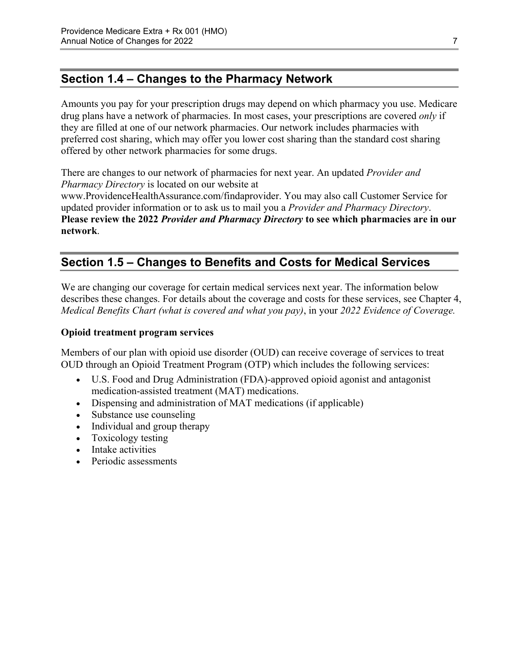### <span id="page-9-0"></span>**Section 1.4 – Changes to the Pharmacy Network**

Amounts you pay for your prescription drugs may depend on which pharmacy you use. Medicare drug plans have a network of pharmacies. In most cases, your prescriptions are covered *only* if they are filled at one of our network pharmacies. Our network includes pharmacies with preferred cost sharing, which may offer you lower cost sharing than the standard cost sharing offered by other network pharmacies for some drugs.

There are changes to our network of pharmacies for next year. An updated *Provider and Pharmacy Directory* is located on our website at [www.ProvidenceHealthAssurance.com/findaprovider](http://www.ProvidenceHealthAssurance.com/findaprovider). You may also call Customer Service for updated provider information or to ask us to mail you a *Provider and Pharmacy Directory*.

**Please review the 2022** *Provider and Pharmacy Directory* **to see which pharmacies are in our network**.

### <span id="page-9-1"></span>**Section 1.5 – Changes to Benefits and Costs for Medical Services**

We are changing our coverage for certain medical services next year. The information below describes these changes. For details about the coverage and costs for these services, see Chapter 4, *Medical Benefits Chart (what is covered and what you pay)*, in your *2022 Evidence of Coverage.* 

#### **Opioid treatment program services**

Members of our plan with opioid use disorder (OUD) can receive coverage of services to treat OUD through an Opioid Treatment Program (OTP) which includes the following services:

- U.S. Food and Drug Administration (FDA)-approved opioid agonist and antagonist medication-assisted treatment (MAT) medications.
- Dispensing and administration of MAT medications (if applicable)
- Substance use counseling
- Individual and group therapy
- Toxicology testing
- Intake activities
- Periodic assessments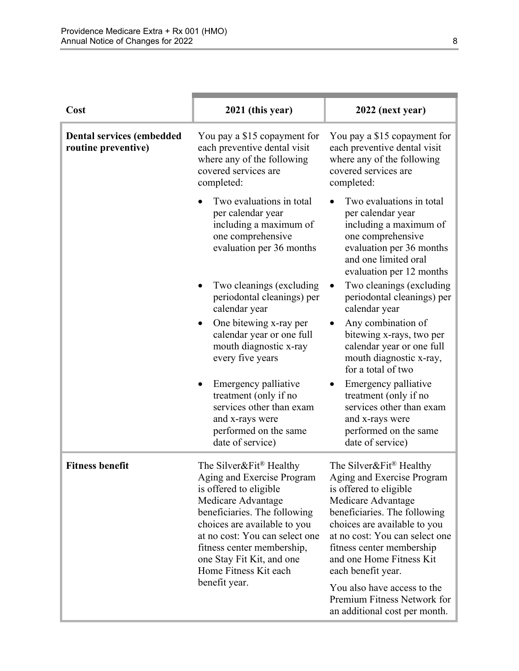| Cost                                                    | 2021 (this year)                                                                                                                                                                                                                                                                                                         | 2022 (next year)                                                                                                                                                                                                                                                                                                                  |
|---------------------------------------------------------|--------------------------------------------------------------------------------------------------------------------------------------------------------------------------------------------------------------------------------------------------------------------------------------------------------------------------|-----------------------------------------------------------------------------------------------------------------------------------------------------------------------------------------------------------------------------------------------------------------------------------------------------------------------------------|
| <b>Dental services (embedded</b><br>routine preventive) | You pay a \$15 copayment for<br>each preventive dental visit<br>where any of the following<br>covered services are<br>completed:                                                                                                                                                                                         | You pay a \$15 copayment for<br>each preventive dental visit<br>where any of the following<br>covered services are<br>completed:                                                                                                                                                                                                  |
|                                                         | Two evaluations in total<br>per calendar year<br>including a maximum of<br>one comprehensive<br>evaluation per 36 months                                                                                                                                                                                                 | Two evaluations in total<br>per calendar year<br>including a maximum of<br>one comprehensive<br>evaluation per 36 months<br>and one limited oral<br>evaluation per 12 months                                                                                                                                                      |
|                                                         | Two cleanings (excluding<br>periodontal cleanings) per<br>calendar year                                                                                                                                                                                                                                                  | Two cleanings (excluding<br>periodontal cleanings) per<br>calendar year                                                                                                                                                                                                                                                           |
|                                                         | One bitewing x-ray per<br>calendar year or one full<br>mouth diagnostic x-ray<br>every five years                                                                                                                                                                                                                        | Any combination of<br>bitewing x-rays, two per<br>calendar year or one full<br>mouth diagnostic x-ray,<br>for a total of two                                                                                                                                                                                                      |
|                                                         | Emergency palliative<br>treatment (only if no<br>services other than exam<br>and x-rays were<br>performed on the same<br>date of service)                                                                                                                                                                                | Emergency palliative<br>treatment (only if no<br>services other than exam<br>and x-rays were<br>performed on the same<br>date of service)                                                                                                                                                                                         |
| <b>Fitness benefit</b>                                  | The Silver&Fit <sup>®</sup> Healthy<br>Aging and Exercise Program<br>is offered to eligible<br>Medicare Advantage<br>beneficiaries. The following<br>choices are available to you<br>at no cost: You can select one<br>fitness center membership,<br>one Stay Fit Kit, and one<br>Home Fitness Kit each<br>benefit year. | The Silver&Fit <sup>®</sup> Healthy<br>Aging and Exercise Program<br>is offered to eligible<br>Medicare Advantage<br>beneficiaries. The following<br>choices are available to you<br>at no cost: You can select one<br>fitness center membership<br>and one Home Fitness Kit<br>each benefit year.<br>You also have access to the |
|                                                         |                                                                                                                                                                                                                                                                                                                          | Premium Fitness Network for<br>an additional cost per month.                                                                                                                                                                                                                                                                      |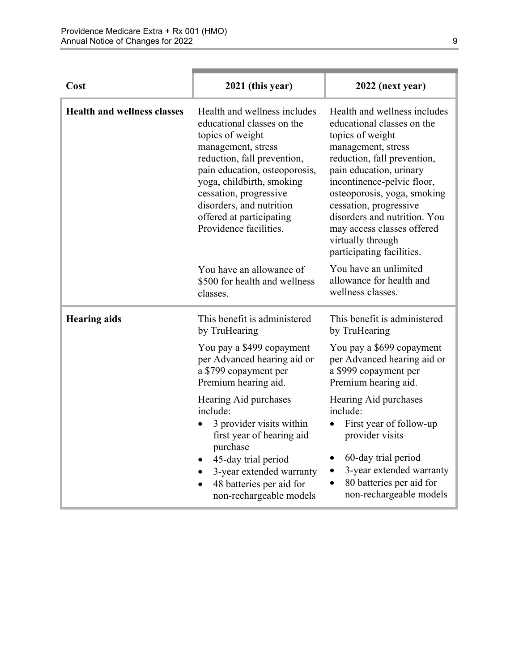| Cost                               | 2021 (this year)                                                                                                                                                                                                                                                                                              | 2022 (next year)                                                                                                                                                                                                                                                                                                                                                      |
|------------------------------------|---------------------------------------------------------------------------------------------------------------------------------------------------------------------------------------------------------------------------------------------------------------------------------------------------------------|-----------------------------------------------------------------------------------------------------------------------------------------------------------------------------------------------------------------------------------------------------------------------------------------------------------------------------------------------------------------------|
| <b>Health and wellness classes</b> | Health and wellness includes<br>educational classes on the<br>topics of weight<br>management, stress<br>reduction, fall prevention,<br>pain education, osteoporosis,<br>yoga, childbirth, smoking<br>cessation, progressive<br>disorders, and nutrition<br>offered at participating<br>Providence facilities. | Health and wellness includes<br>educational classes on the<br>topics of weight<br>management, stress<br>reduction, fall prevention,<br>pain education, urinary<br>incontinence-pelvic floor,<br>osteoporosis, yoga, smoking<br>cessation, progressive<br>disorders and nutrition. You<br>may access classes offered<br>virtually through<br>participating facilities. |
|                                    | You have an allowance of<br>\$500 for health and wellness<br>classes.                                                                                                                                                                                                                                         | You have an unlimited<br>allowance for health and<br>wellness classes.                                                                                                                                                                                                                                                                                                |
| <b>Hearing aids</b>                | This benefit is administered<br>by TruHearing                                                                                                                                                                                                                                                                 | This benefit is administered<br>by TruHearing                                                                                                                                                                                                                                                                                                                         |
|                                    | You pay a \$499 copayment<br>per Advanced hearing aid or<br>a \$799 copayment per<br>Premium hearing aid.                                                                                                                                                                                                     | You pay a \$699 copayment<br>per Advanced hearing aid or<br>a \$999 copayment per<br>Premium hearing aid.                                                                                                                                                                                                                                                             |
|                                    | Hearing Aid purchases<br>include:<br>3 provider visits within<br>first year of hearing aid<br>purchase<br>45-day trial period<br>3-year extended warranty<br>48 batteries per aid for<br>non-rechargeable models                                                                                              | Hearing Aid purchases<br>include:<br>First year of follow-up<br>provider visits<br>60-day trial period<br>٠<br>3-year extended warranty<br>80 batteries per aid for<br>$\bullet$<br>non-rechargeable models                                                                                                                                                           |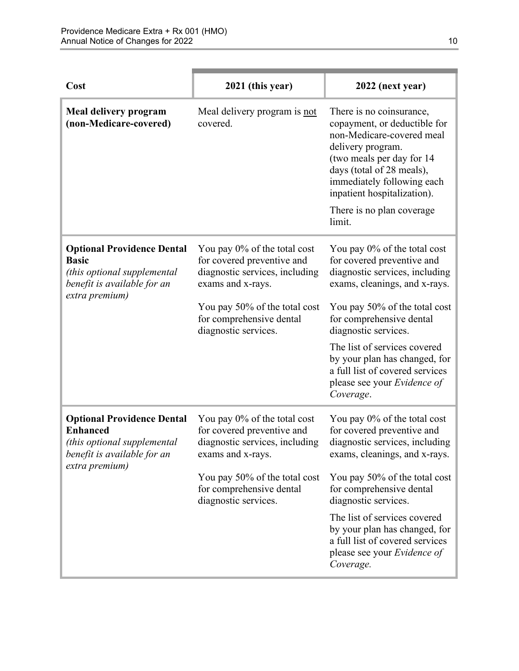| Cost                                                                                                                                 | 2021 (this year)                                                                                                                                                                                       | 2022 (next year)                                                                                                                                                                                                                                                                                                                                                   |
|--------------------------------------------------------------------------------------------------------------------------------------|--------------------------------------------------------------------------------------------------------------------------------------------------------------------------------------------------------|--------------------------------------------------------------------------------------------------------------------------------------------------------------------------------------------------------------------------------------------------------------------------------------------------------------------------------------------------------------------|
| Meal delivery program<br>(non-Medicare-covered)                                                                                      | Meal delivery program is not<br>covered.                                                                                                                                                               | There is no coinsurance,<br>copayment, or deductible for<br>non-Medicare-covered meal<br>delivery program.<br>(two meals per day for 14)<br>days (total of 28 meals),<br>immediately following each<br>inpatient hospitalization).<br>There is no plan coverage.<br>limit.                                                                                         |
| <b>Optional Providence Dental</b><br><b>Basic</b><br>(this optional supplemental<br>benefit is available for an<br>extra premium)    | You pay 0% of the total cost<br>for covered preventive and<br>diagnostic services, including<br>exams and x-rays.<br>You pay 50% of the total cost<br>for comprehensive dental<br>diagnostic services. | You pay 0% of the total cost<br>for covered preventive and<br>diagnostic services, including<br>exams, cleanings, and x-rays.<br>You pay 50% of the total cost<br>for comprehensive dental<br>diagnostic services.<br>The list of services covered<br>by your plan has changed, for<br>a full list of covered services<br>please see your Evidence of<br>Coverage. |
| <b>Optional Providence Dental</b><br><b>Enhanced</b><br>(this optional supplemental<br>benefit is available for an<br>extra premium) | You pay 0% of the total cost<br>for covered preventive and<br>diagnostic services, including<br>exams and x-rays.<br>You pay 50% of the total cost<br>for comprehensive dental<br>diagnostic services. | You pay 0% of the total cost<br>for covered preventive and<br>diagnostic services, including<br>exams, cleanings, and x-rays.<br>You pay 50% of the total cost<br>for comprehensive dental<br>diagnostic services.<br>The list of services covered<br>by your plan has changed, for<br>a full list of covered services<br>please see your Evidence of<br>Coverage. |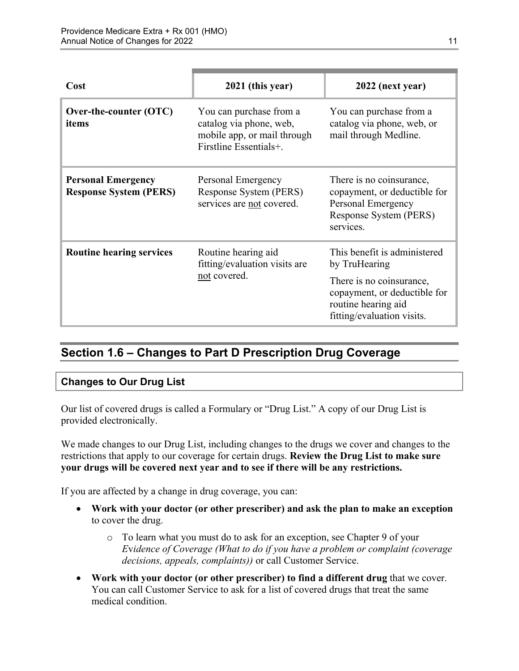| Cost                                                       | 2021 (this year)                                                                                            | 2022 (next year)                                                                                                      |
|------------------------------------------------------------|-------------------------------------------------------------------------------------------------------------|-----------------------------------------------------------------------------------------------------------------------|
| Over-the-counter (OTC)<br>items                            | You can purchase from a<br>catalog via phone, web,<br>mobile app, or mail through<br>Firstline Essentials+. | You can purchase from a<br>catalog via phone, web, or<br>mail through Medline.                                        |
| <b>Personal Emergency</b><br><b>Response System (PERS)</b> | Personal Emergency<br>Response System (PERS)<br>services are not covered.                                   | There is no coinsurance,<br>copayment, or deductible for<br>Personal Emergency<br>Response System (PERS)<br>services. |
| <b>Routine hearing services</b>                            | Routine hearing aid<br>fitting/evaluation visits are<br>not covered.                                        | This benefit is administered<br>by TruHearing                                                                         |
|                                                            |                                                                                                             | There is no coinsurance,<br>copayment, or deductible for<br>routine hearing aid<br>fitting/evaluation visits.         |

### <span id="page-13-0"></span>**Section 1.6 – Changes to Part D Prescription Drug Coverage**

#### **Changes to Our Drug List**

Our list of covered drugs is called a Formulary or "Drug List." A copy of our Drug List is provided electronically.

We made changes to our Drug List, including changes to the drugs we cover and changes to the restrictions that apply to our coverage for certain drugs. **Review the Drug List to make sure your drugs will be covered next year and to see if there will be any restrictions.** 

If you are affected by a change in drug coverage, you can:

- **Work with your doctor (or other prescriber) and ask the plan to make an exception**  to cover the drug.
	- o To learn what you must do to ask for an exception, see Chapter 9 of your *E*v*idence of Coverage (What to do if you have a problem or complaint (coverage decisions, appeals, complaints))* or call Customer Service.
- **Work with your doctor (or other prescriber) to find a different drug** that we cover. You can call Customer Service to ask for a list of covered drugs that treat the same medical condition.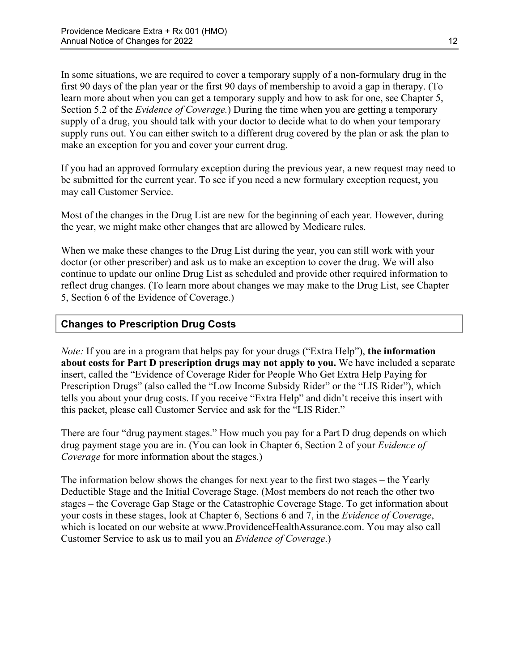Section 5.2 of the *Evidence of Coverage.*) During the time when you are getting a temporary In some situations, we are required to cover a temporary supply of a non-formulary drug in the first 90 days of the plan year or the first 90 days of membership to avoid a gap in therapy. (To learn more about when you can get a temporary supply and how to ask for one, see Chapter 5, supply of a drug, you should talk with your doctor to decide what to do when your temporary supply runs out. You can either switch to a different drug covered by the plan or ask the plan to make an exception for you and cover your current drug.

If you had an approved formulary exception during the previous year, a new request may need to be submitted for the current year. To see if you need a new formulary exception request, you may call Customer Service.

Most of the changes in the Drug List are new for the beginning of each year. However, during the year, we might make other changes that are allowed by Medicare rules.

When we make these changes to the Drug List during the year, you can still work with your doctor (or other prescriber) and ask us to make an exception to cover the drug. We will also continue to update our online Drug List as scheduled and provide other required information to reflect drug changes. (To learn more about changes we may make to the Drug List, see Chapter 5, Section 6 of the Evidence of Coverage.)

#### **Changes to Prescription Drug Costs**

*Note:* If you are in a program that helps pay for your drugs ("Extra Help"), **the information about costs for Part D prescription drugs may not apply to you.** We have included a separate insert, called the "Evidence of Coverage Rider for People Who Get Extra Help Paying for Prescription Drugs" (also called the "Low Income Subsidy Rider" or the "LIS Rider"), which tells you about your drug costs. If you receive "Extra Help" and didn't receive this insert with this packet, please call Customer Service and ask for the "LIS Rider."

There are four "drug payment stages." How much you pay for a Part D drug depends on which drug payment stage you are in. (You can look in Chapter 6, Section 2 of your *Evidence of Coverage* for more information about the stages.)

The information below shows the changes for next year to the first two stages – the Yearly Deductible Stage and the Initial Coverage Stage. (Most members do not reach the other two stages – the Coverage Gap Stage or the Catastrophic Coverage Stage. To get information about your costs in these stages, look at Chapter 6, Sections 6 and 7, in the *Evidence of Coverage*, which is located on our website at [www.ProvidenceHealthAssurance.com.](http://www.ProvidenceHealthAssurance.com) You may also call Customer Service to ask us to mail you an *Evidence of Coverage*.)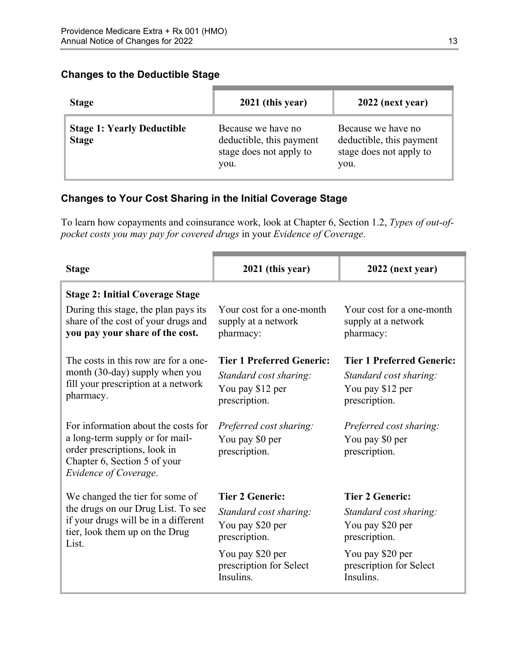#### **Changes to the Deductible Stage**

| <b>Stage</b>                                      | 2021 (this year)                                                                  | 2022 (next year)                                                                  |
|---------------------------------------------------|-----------------------------------------------------------------------------------|-----------------------------------------------------------------------------------|
| <b>Stage 1: Yearly Deductible</b><br><b>Stage</b> | Because we have no<br>deductible, this payment<br>stage does not apply to<br>you. | Because we have no<br>deductible, this payment<br>stage does not apply to<br>you. |

#### **Changes to Your Cost Sharing in the Initial Coverage Stage**

To learn how copayments and coinsurance work, look at Chapter 6, Section 1.2, *Types of out-ofpocket costs you may pay for covered drugs* in your *Evidence of Coverage*.

| <b>Stage</b>                                                                                                                                                    | 2021 (this year)                                                                                | 2022 (next year)                                                                                |
|-----------------------------------------------------------------------------------------------------------------------------------------------------------------|-------------------------------------------------------------------------------------------------|-------------------------------------------------------------------------------------------------|
| <b>Stage 2: Initial Coverage Stage</b>                                                                                                                          |                                                                                                 |                                                                                                 |
| During this stage, the plan pays its<br>share of the cost of your drugs and<br>you pay your share of the cost.                                                  | Your cost for a one-month<br>supply at a network<br>pharmacy:                                   | Your cost for a one-month<br>supply at a network<br>pharmacy:                                   |
| The costs in this row are for a one-<br>month (30-day) supply when you<br>fill your prescription at a network<br>pharmacy.                                      | <b>Tier 1 Preferred Generic:</b><br>Standard cost sharing:<br>You pay \$12 per<br>prescription. | <b>Tier 1 Preferred Generic:</b><br>Standard cost sharing:<br>You pay \$12 per<br>prescription. |
| For information about the costs for<br>a long-term supply or for mail-<br>order prescriptions, look in<br>Chapter 6, Section 5 of your<br>Evidence of Coverage. | Preferred cost sharing:<br>You pay \$0 per<br>prescription.                                     | Preferred cost sharing:<br>You pay \$0 per<br>prescription.                                     |
| We changed the tier for some of                                                                                                                                 | <b>Tier 2 Generic:</b>                                                                          | <b>Tier 2 Generic:</b>                                                                          |
| the drugs on our Drug List. To see<br>if your drugs will be in a different<br>tier, look them up on the Drug<br>List.                                           | Standard cost sharing:<br>You pay \$20 per<br>prescription.                                     | Standard cost sharing:<br>You pay \$20 per<br>prescription.                                     |
|                                                                                                                                                                 | You pay \$20 per<br>prescription for Select<br>Insulins.                                        | You pay \$20 per<br>prescription for Select<br>Insulins.                                        |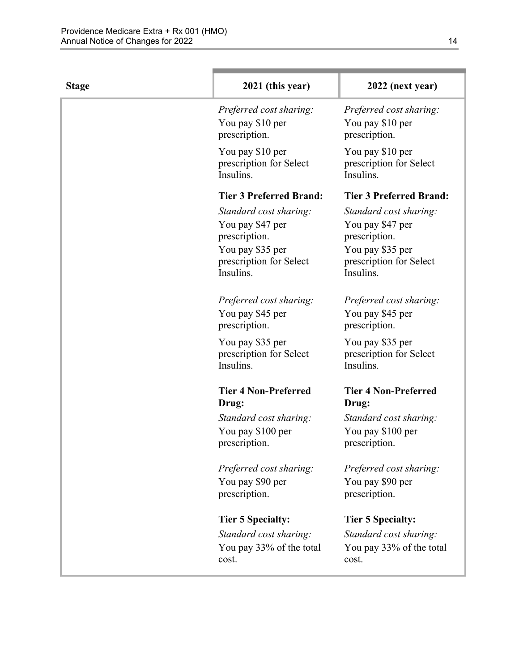| <b>Stage</b> | 2021 (this year)                                                                                                        | 2022 (next year)                                                                                                        |
|--------------|-------------------------------------------------------------------------------------------------------------------------|-------------------------------------------------------------------------------------------------------------------------|
|              | Preferred cost sharing:<br>You pay \$10 per<br>prescription.                                                            | Preferred cost sharing:<br>You pay \$10 per<br>prescription.                                                            |
|              | You pay \$10 per<br>prescription for Select<br>Insulins.                                                                | You pay \$10 per<br>prescription for Select<br>Insulins.                                                                |
|              | <b>Tier 3 Preferred Brand:</b>                                                                                          | <b>Tier 3 Preferred Brand:</b>                                                                                          |
|              | Standard cost sharing:<br>You pay \$47 per<br>prescription.<br>You pay \$35 per<br>prescription for Select<br>Insulins. | Standard cost sharing:<br>You pay \$47 per<br>prescription.<br>You pay \$35 per<br>prescription for Select<br>Insulins. |
|              | Preferred cost sharing:<br>You pay \$45 per<br>prescription.                                                            | Preferred cost sharing:<br>You pay \$45 per<br>prescription.                                                            |
|              | You pay \$35 per<br>prescription for Select<br>Insulins.                                                                | You pay \$35 per<br>prescription for Select<br>Insulins.                                                                |
|              | <b>Tier 4 Non-Preferred</b><br>Drug:                                                                                    | <b>Tier 4 Non-Preferred</b><br>Drug:                                                                                    |
|              | Standard cost sharing:<br>You pay \$100 per<br>prescription.                                                            | Standard cost sharing:<br>You pay \$100 per<br>prescription.                                                            |
|              | Preferred cost sharing:<br>You pay \$90 per<br>prescription.                                                            | Preferred cost sharing:<br>You pay \$90 per<br>prescription.                                                            |
|              | <b>Tier 5 Specialty:</b>                                                                                                | <b>Tier 5 Specialty:</b>                                                                                                |
|              | Standard cost sharing:<br>You pay 33% of the total<br>cost.                                                             | Standard cost sharing:<br>You pay 33% of the total<br>cost.                                                             |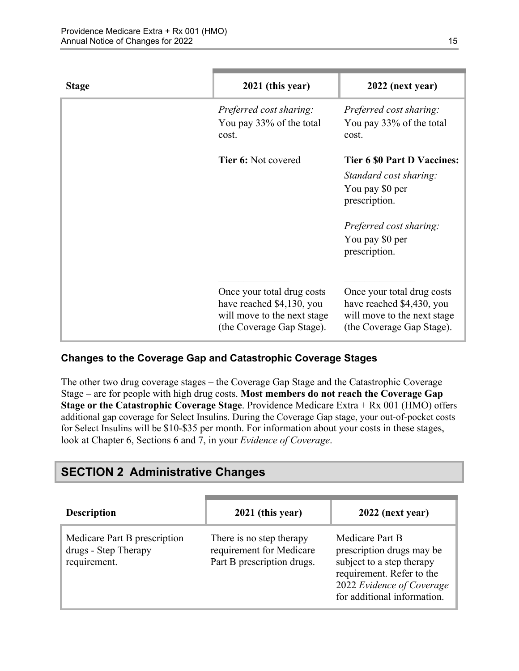| <b>Stage</b> | 2021 (this year)                                                                                                    | 2022 (next year)                                                                                                    |
|--------------|---------------------------------------------------------------------------------------------------------------------|---------------------------------------------------------------------------------------------------------------------|
|              | Preferred cost sharing:<br>You pay 33% of the total<br>cost.                                                        | Preferred cost sharing:<br>You pay 33% of the total<br>cost.                                                        |
|              | <b>Tier 6: Not covered</b>                                                                                          | <b>Tier 6 \$0 Part D Vaccines:</b>                                                                                  |
|              |                                                                                                                     | Standard cost sharing:                                                                                              |
|              |                                                                                                                     | You pay \$0 per<br>prescription.                                                                                    |
|              |                                                                                                                     | Preferred cost sharing:                                                                                             |
|              |                                                                                                                     | You pay \$0 per<br>prescription.                                                                                    |
|              |                                                                                                                     |                                                                                                                     |
|              | Once your total drug costs<br>have reached \$4,130, you<br>will move to the next stage<br>(the Coverage Gap Stage). | Once your total drug costs<br>have reached \$4,430, you<br>will move to the next stage<br>(the Coverage Gap Stage). |

#### **Changes to the Coverage Gap and Catastrophic Coverage Stages**

The other two drug coverage stages – the Coverage Gap Stage and the Catastrophic Coverage Stage – are for people with high drug costs. **Most members do not reach the Coverage Gap Stage or the Catastrophic Coverage Stage**. Providence Medicare Extra + Rx 001 (HMO) offers additional gap coverage for Select Insulins. During the Coverage Gap stage, your out-of-pocket costs for Select Insulins will be \$10-\$35 per month. For information about your costs in these stages, look at Chapter 6, Sections 6 and 7, in your *Evidence of Coverage*.

### <span id="page-17-0"></span>**SECTION 2 Administrative Changes**

| <b>Description</b>                                                   | 2021 (this year)                                                                   | 2022 (next year)                                                                                                                                                   |
|----------------------------------------------------------------------|------------------------------------------------------------------------------------|--------------------------------------------------------------------------------------------------------------------------------------------------------------------|
| Medicare Part B prescription<br>drugs - Step Therapy<br>requirement. | There is no step therapy<br>requirement for Medicare<br>Part B prescription drugs. | Medicare Part B<br>prescription drugs may be<br>subject to a step therapy<br>requirement. Refer to the<br>2022 Evidence of Coverage<br>for additional information. |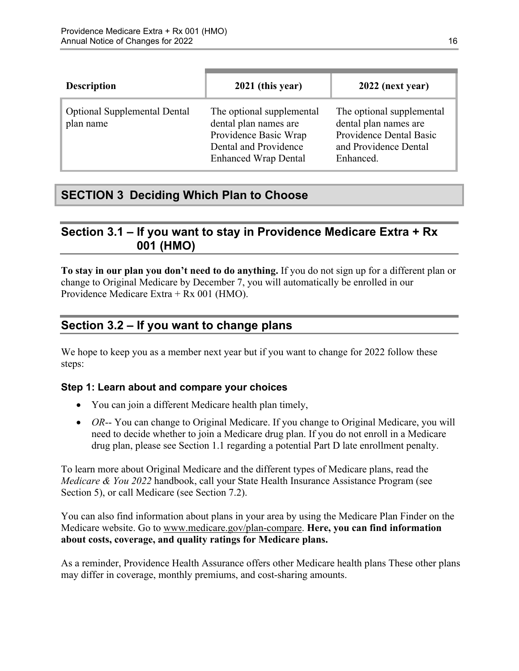| <b>Description</b>                               | 2021 (this year)                                                                                                                    | 2022 (next year)                                                                                                    |
|--------------------------------------------------|-------------------------------------------------------------------------------------------------------------------------------------|---------------------------------------------------------------------------------------------------------------------|
| <b>Optional Supplemental Dental</b><br>plan name | The optional supplemental<br>dental plan names are<br>Providence Basic Wrap<br>Dental and Providence<br><b>Enhanced Wrap Dental</b> | The optional supplemental<br>dental plan names are<br>Providence Dental Basic<br>and Providence Dental<br>Enhanced. |

### <span id="page-18-0"></span>**SECTION 3 Deciding Which Plan to Choose**

### <span id="page-18-1"></span>**Section 3.1 – If you want to stay in Providence Medicare Extra + Rx 001 (HMO)**

**To stay in our plan you don't need to do anything.** If you do not sign up for a different plan or change to Original Medicare by December 7, you will automatically be enrolled in our Providence Medicare Extra + Rx 001 (HMO).

### <span id="page-18-2"></span>**Section 3.2 – If you want to change plans**

We hope to keep you as a member next year but if you want to change for 2022 follow these steps:

#### **Step 1: Learn about and compare your choices**

- You can join a different Medicare health plan timely,
- *OR*-- You can change to Original Medicare. If you change to Original Medicare, you will need to decide whether to join a Medicare drug plan. If you do not enroll in a Medicare drug plan, please see Section 1.1 regarding a potential Part D late enrollment penalty.

To learn more about Original Medicare and the different types of Medicare plans, read the *Medicare & You 2022* handbook, call your State Health Insurance Assistance Program (see Section 5), or call Medicare (see Section 7.2).

You can also find information about plans in your area by using the Medicare Plan Finder on the Medicare website. Go to [www.medicare.gov/plan-compare](http://www.medicare.gov/plan-compare). **Here, you can find information about costs, coverage, and quality ratings for Medicare plans.** 

As a reminder, Providence Health Assurance offers other Medicare health plans These other plans may differ in coverage, monthly premiums, and cost-sharing amounts.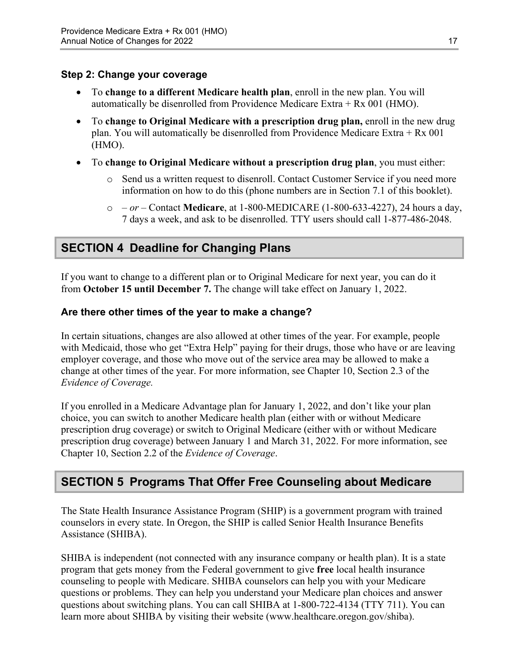#### **Step 2: Change your coverage**

- To **change to a different Medicare health plan**, enroll in the new plan. You will automatically be disenrolled from Providence Medicare Extra + Rx 001 (HMO).
- To **change to Original Medicare with a prescription drug plan,** enroll in the new drug plan. You will automatically be disenrolled from Providence Medicare Extra + Rx 001 (HMO).
- To **change to Original Medicare without a prescription drug plan**, you must either:
	- $\circ$  Send us a written request to disenroll. Contact Customer Service if you need more information on how to do this (phone numbers are in Section 7.1 of this booklet).
	- o  *or –* Contact **Medicare**, at 1-800-MEDICARE (1-800-633-4227), 24 hours a day, 7 days a week, and ask to be disenrolled. TTY users should call 1-877-486-2048.

### <span id="page-19-0"></span>**SECTION 4 Deadline for Changing Plans**

If you want to change to a different plan or to Original Medicare for next year, you can do it from **October 15 until December 7.** The change will take effect on January 1, 2022.

#### **Are there other times of the year to make a change?**

In certain situations, changes are also allowed at other times of the year. For example, people with Medicaid, those who get "Extra Help" paying for their drugs, those who have or are leaving employer coverage, and those who move out of the service area may be allowed to make a change at other times of the year. For more information, see Chapter 10, Section 2.3 of the *Evidence of Coverage.* 

 Chapter 10, Section 2.2 of the *Evidence of Coverage*. If you enrolled in a Medicare Advantage plan for January 1, 2022, and don't like your plan choice, you can switch to another Medicare health plan (either with or without Medicare prescription drug coverage) or switch to Original Medicare (either with or without Medicare prescription drug coverage) between January 1 and March 31, 2022. For more information, see

### <span id="page-19-1"></span>**SECTION 5 Programs That Offer Free Counseling about Medicare**

The State Health Insurance Assistance Program (SHIP) is a government program with trained counselors in every state. In Oregon, the SHIP is called Senior Health Insurance Benefits Assistance (SHIBA).

 SHIBA is independent (not connected with any insurance company or health plan). It is a state program that gets money from the Federal government to give **free** local health insurance counseling to people with Medicare. SHIBA counselors can help you with your Medicare questions or problems. They can help you understand your Medicare plan choices and answer questions about switching plans. You can call SHIBA at 1-800-722-4134 (TTY 711). You can learn more about SHIBA by visiting their website ([www.healthcare.oregon.gov/shiba](http://healthcare.oregon.gov/shiba)).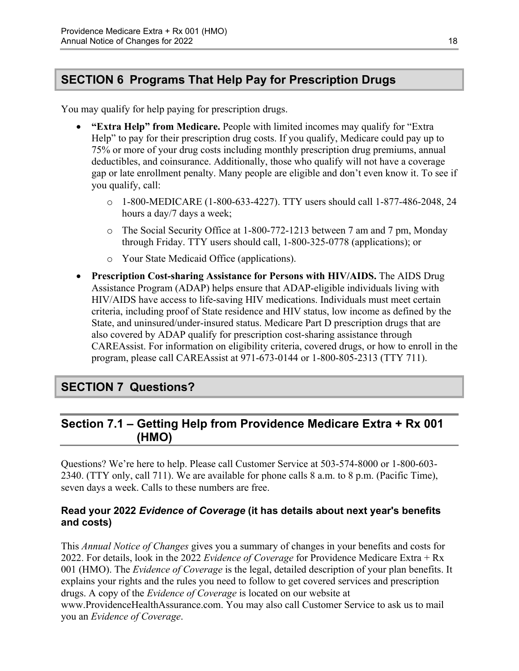### <span id="page-20-0"></span>**SECTION 6 Programs That Help Pay for Prescription Drugs**

You may qualify for help paying for prescription drugs.

- **"Extra Help" from Medicare.** People with limited incomes may qualify for "Extra Help" to pay for their prescription drug costs. If you qualify, Medicare could pay up to 75% or more of your drug costs including monthly prescription drug premiums, annual deductibles, and coinsurance. Additionally, those who qualify will not have a coverage gap or late enrollment penalty. Many people are eligible and don't even know it. To see if you qualify, call:
	- $\circ$  1-800-MEDICARE (1-800-633-4227). TTY users should call 1-877-486-2048, 24 hours a day/7 days a week;
	- $\circ$  The Social Security Office at 1-800-772-1213 between 7 am and 7 pm, Monday through Friday. TTY users should call, 1-800-325-0778 (applications); or
	- o Your State Medicaid Office (applications).
- **Prescription Cost-sharing Assistance for Persons with HIV/AIDS.** The AIDS Drug Assistance Program (ADAP) helps ensure that ADAP-eligible individuals living with HIV/AIDS have access to life-saving HIV medications. Individuals must meet certain criteria, including proof of State residence and HIV status, low income as defined by the State, and uninsured/under-insured status. Medicare Part D prescription drugs that are also covered by ADAP qualify for prescription cost-sharing assistance through CAREAssist. For information on eligibility criteria, covered drugs, or how to enroll in the program, please call CAREAssist at 971-673-0144 or 1-800-805-2313 (TTY 711).

### <span id="page-20-1"></span>**SECTION 7 Questions?**

### <span id="page-20-2"></span>**Section 7.1 – Getting Help from Providence Medicare Extra + Rx 001 (HMO)**

Questions? We're here to help. Please call Customer Service at 503-574-8000 or 1-800-603 2340. (TTY only, call 711). We are available for phone calls 8 a.m. to 8 p.m. (Pacific Time), seven days a week. Calls to these numbers are free.

#### **Read your 2022** *Evidence of Coverage* **(it has details about next year's benefits and costs)**

This *Annual Notice of Changes* gives you a summary of changes in your benefits and costs for 2022. For details, look in the 2022 *Evidence of Coverage* for Providence Medicare Extra + Rx 001 (HMO). The *Evidence of Coverage* is the legal, detailed description of your plan benefits. It explains your rights and the rules you need to follow to get covered services and prescription drugs. A copy of the *Evidence of Coverage* is located on our website at [www.ProvidenceHealthAssurance.com.](http://www.ProvidenceHealthAssurance.com) You may also call Customer Service to ask us to mail you an *Evidence of Coverage*.